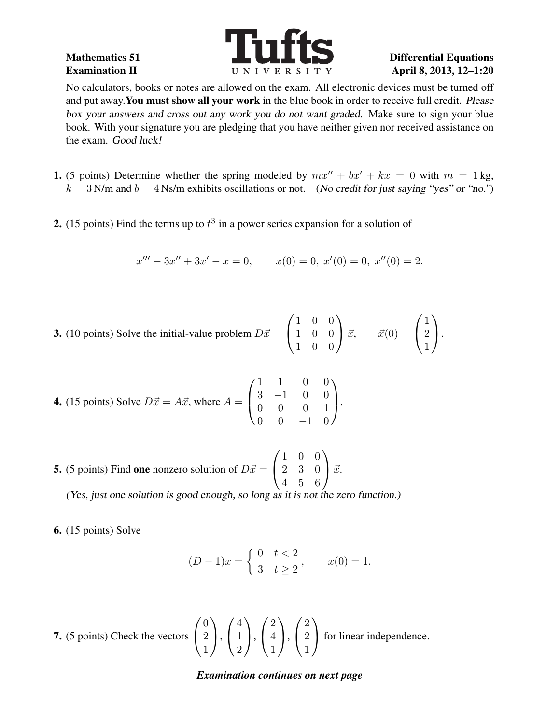

No calculators, books or notes are allowed on the exam. All electronic devices must be turned off and put away.You must show all your work in the blue book in order to receive full credit. Please box your answers and cross out any work you do not want graded. Make sure to sign your blue book. With your signature you are pledging that you have neither given nor received assistance on the exam. Good luck!

- 1. (5 points) Determine whether the spring modeled by  $mx'' + bx' + kx = 0$  with  $m = 1$  kg,  $k = 3$  N/m and  $b = 4$  Ns/m exhibits oscillations or not. (No credit for just saying "yes" or "no.")
- 2. (15 points) Find the terms up to  $t^3$  in a power series expansion for a solution of

$$
x''' - 3x'' + 3x' - x = 0, \qquad x(0) = 0, \ x'(0) = 0, \ x''(0) = 2.
$$

**3.** (10 points) Solve the initial-value problem  $D\vec{x} =$  $\sqrt{ }$  $\overline{1}$ 1 0 0 1 0 0 1 0 0  $\setminus$  $\int \vec{x}, \quad \vec{x}(0) =$  $\sqrt{ }$  $\mathcal{L}$ 1 2 1  $\setminus$  $\cdot$ 

**4.** (15 points) Solve 
$$
D\vec{x} = A\vec{x}
$$
, where  $A = \begin{pmatrix} 1 & 1 & 0 & 0 \\ 3 & -1 & 0 & 0 \\ 0 & 0 & 0 & 1 \\ 0 & 0 & -1 & 0 \end{pmatrix}$ .

**5.** (5 points) Find one nonzero solution of  $D\vec{x} =$  $\sqrt{ }$  $\mathcal{L}$ 1 0 0 2 3 0 4 5 6  $\setminus$  $\int \vec{x}$ .

(Yes, just one solution is good enough, so long as it is not the zero function.)

6. (15 points) Solve

$$
(D-1)x = \begin{cases} 0 & t < 2 \\ 3 & t \ge 2 \end{cases}, \qquad x(0) = 1.
$$

7. (5 points) Check the vectors  $\sqrt{ }$  $\overline{1}$ 0 2 1  $\setminus$  $\vert$ ,  $\sqrt{ }$  $\mathcal{L}$ 4 1 2  $\setminus$  $\vert$ ,  $\sqrt{ }$  $\overline{1}$ 2 4 1  $\setminus$  $\Big\}$  $\sqrt{ }$  $\overline{1}$ 2 2 1  $\setminus$ for linear independence.

*Examination continues on next page*